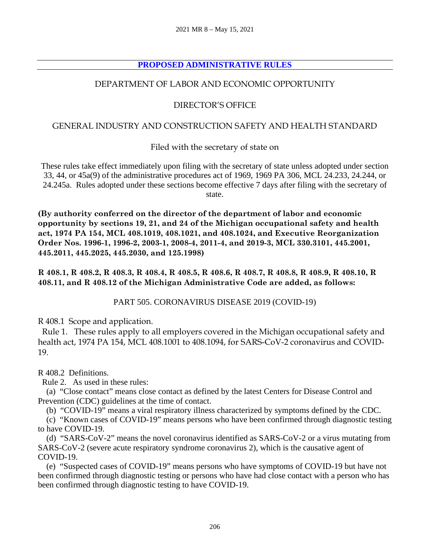# **PROPOSED ADMINISTRATIVE RULES**

# DEPARTMENT OF LABOR AND ECONOMIC OPPORTUNITY

# DIRECTOR'S OFFICE

#### GENERAL INDUSTRY AND CONSTRUCTION SAFETY AND HEALTH STANDARD

Filed with the secretary of state on

These rules take effect immediately upon filing with the secretary of state unless adopted under section 33, 44, or 45a(9) of the administrative procedures act of 1969, 1969 PA 306, MCL 24.233, 24.244, or 24.245a. Rules adopted under these sections become effective 7 days after filing with the secretary of state.

**(By authority conferred on the director of the department of labor and economic opportunity by sections 19, 21, and 24 of the Michigan occupational safety and health act, 1974 PA 154, MCL 408.1019, 408.1021, and 408.1024, and Executive Reorganization Order Nos. 1996-1, 1996-2, 2003-1, 2008-4, 2011-4, and 2019-3, MCL 330.3101, 445.2001, 445.2011, 445.2025, 445.2030, and 125.1998)** 

**R 408.1, R 408.2, R 408.3, R 408.4, R 408.5, R 408.6, R 408.7, R 408.8, R 408.9, R 408.10, R 408.11, and R 408.12 of the Michigan Administrative Code are added, as follows:** 

PART 505. CORONAVIRUS DISEASE 2019 (COVID-19)

R 408.1 Scope and application.

 Rule 1. These rules apply to all employers covered in the Michigan occupational safety and health act, 1974 PA 154, MCL 408.1001 to 408.1094, for SARS-CoV-2 coronavirus and COVID-19.

R 408.2 Definitions.

Rule 2. As used in these rules:

 (a) "Close contact" means close contact as defined by the latest Centers for Disease Control and Prevention (CDC) guidelines at the time of contact.

(b) "COVID-19" means a viral respiratory illness characterized by symptoms defined by the CDC.

 (c) "Known cases of COVID-19" means persons who have been confirmed through diagnostic testing to have COVID-19.

 (d) "SARS-CoV-2" means the novel coronavirus identified as SARS-CoV-2 or a virus mutating from SARS-CoV-2 (severe acute respiratory syndrome coronavirus 2), which is the causative agent of COVID-19.

 (e) "Suspected cases of COVID-19" means persons who have symptoms of COVID-19 but have not been confirmed through diagnostic testing or persons who have had close contact with a person who has been confirmed through diagnostic testing to have COVID-19.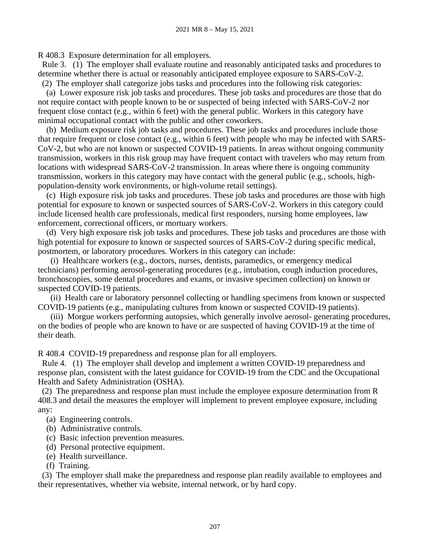R 408.3 Exposure determination for all employers.

 Rule 3. (1) The employer shall evaluate routine and reasonably anticipated tasks and procedures to determine whether there is actual or reasonably anticipated employee exposure to SARS-CoV-2.

 (2) The employer shall categorize jobs tasks and procedures into the following risk categories: (a) Lower exposure risk job tasks and procedures. These job tasks and procedures are those that do not require contact with people known to be or suspected of being infected with SARS-CoV-2 nor frequent close contact (e.g., within 6 feet) with the general public. Workers in this category have minimal occupational contact with the public and other coworkers.

 (b) Medium exposure risk job tasks and procedures. These job tasks and procedures include those that require frequent or close contact (e.g., within 6 feet) with people who may be infected with SARS-CoV-2, but who are not known or suspected COVID-19 patients. In areas without ongoing community transmission, workers in this risk group may have frequent contact with travelers who may return from locations with widespread SARS-CoV-2 transmission. In areas where there is ongoing community transmission, workers in this category may have contact with the general public (e.g., schools, highpopulation-density work environments, or high-volume retail settings).

 (c) High exposure risk job tasks and procedures. These job tasks and procedures are those with high potential for exposure to known or suspected sources of SARS-CoV-2. Workers in this category could include licensed health care professionals, medical first responders, nursing home employees, law enforcement, correctional officers, or mortuary workers.

 (d) Very high exposure risk job tasks and procedures. These job tasks and procedures are those with high potential for exposure to known or suspected sources of SARS-CoV-2 during specific medical, postmortem, or laboratory procedures. Workers in this category can include:

 (i) Healthcare workers (e.g., doctors, nurses, dentists, paramedics, or emergency medical technicians) performing aerosol-generating procedures (e.g., intubation, cough induction procedures, bronchoscopies, some dental procedures and exams, or invasive specimen collection) on known or suspected COVID-19 patients.

 (ii) Health care or laboratory personnel collecting or handling specimens from known or suspected COVID-19 patients (e.g., manipulating cultures from known or suspected COVID-19 patients).

 (iii) Morgue workers performing autopsies, which generally involve aerosol- generating procedures, on the bodies of people who are known to have or are suspected of having COVID-19 at the time of their death.

R 408.4 COVID-19 preparedness and response plan for all employers.

 Rule 4. (1) The employer shall develop and implement a written COVID-19 preparedness and response plan, consistent with the latest guidance for COVID-19 from the CDC and the Occupational Health and Safety Administration (OSHA).

 (2) The preparedness and response plan must include the employee exposure determination from R 408.3 and detail the measures the employer will implement to prevent employee exposure, including any:

- (a) Engineering controls.
- (b) Administrative controls.
- (c) Basic infection prevention measures.
- (d) Personal protective equipment.
- (e) Health surveillance.
- (f) Training.

 (3) The employer shall make the preparedness and response plan readily available to employees and their representatives, whether via website, internal network, or by hard copy.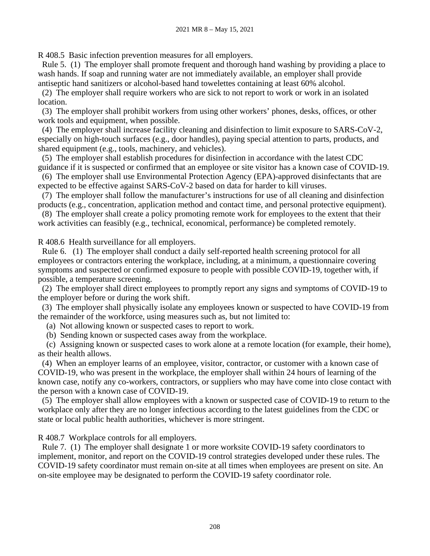R 408.5 Basic infection prevention measures for all employers.

 Rule 5. (1) The employer shall promote frequent and thorough hand washing by providing a place to wash hands. If soap and running water are not immediately available, an employer shall provide antiseptic hand sanitizers or alcohol-based hand towelettes containing at least 60% alcohol.

 (2) The employer shall require workers who are sick to not report to work or work in an isolated location.

 (3) The employer shall prohibit workers from using other workers' phones, desks, offices, or other work tools and equipment, when possible.

 (4) The employer shall increase facility cleaning and disinfection to limit exposure to SARS-CoV-2, especially on high-touch surfaces (e.g., door handles), paying special attention to parts, products, and shared equipment (e.g., tools, machinery, and vehicles).

 (5) The employer shall establish procedures for disinfection in accordance with the latest CDC guidance if it is suspected or confirmed that an employee or site visitor has a known case of COVID-19.

 (6) The employer shall use Environmental Protection Agency (EPA)-approved disinfectants that are expected to be effective against SARS-CoV-2 based on data for harder to kill viruses.

 (7) The employer shall follow the manufacturer's instructions for use of all cleaning and disinfection products (e.g., concentration, application method and contact time, and personal protective equipment).

 (8) The employer shall create a policy promoting remote work for employees to the extent that their work activities can feasibly (e.g., technical, economical, performance) be completed remotely.

R 408.6 Health surveillance for all employers.

 Rule 6. (1) The employer shall conduct a daily self-reported health screening protocol for all employees or contractors entering the workplace, including, at a minimum, a questionnaire covering symptoms and suspected or confirmed exposure to people with possible COVID-19, together with, if possible, a temperature screening.

 (2) The employer shall direct employees to promptly report any signs and symptoms of COVID-19 to the employer before or during the work shift.

 (3) The employer shall physically isolate any employees known or suspected to have COVID-19 from the remainder of the workforce, using measures such as, but not limited to:

(a) Not allowing known or suspected cases to report to work.

(b) Sending known or suspected cases away from the workplace.

 (c) Assigning known or suspected cases to work alone at a remote location (for example, their home), as their health allows.

 (4) When an employer learns of an employee, visitor, contractor, or customer with a known case of COVID-19, who was present in the workplace, the employer shall within 24 hours of learning of the known case, notify any co-workers, contractors, or suppliers who may have come into close contact with the person with a known case of COVID-19.

 (5) The employer shall allow employees with a known or suspected case of COVID-19 to return to the workplace only after they are no longer infectious according to the latest guidelines from the CDC or state or local public health authorities, whichever is more stringent.

R 408.7 Workplace controls for all employers.

 Rule 7. (1) The employer shall designate 1 or more worksite COVID-19 safety coordinators to implement, monitor, and report on the COVID-19 control strategies developed under these rules. The COVID-19 safety coordinator must remain on-site at all times when employees are present on site. An on-site employee may be designated to perform the COVID-19 safety coordinator role.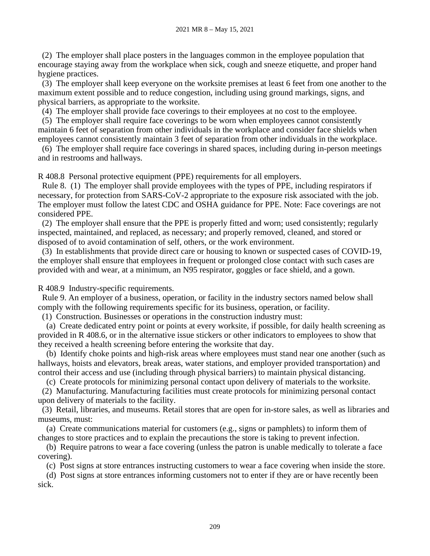(2) The employer shall place posters in the languages common in the employee population that encourage staying away from the workplace when sick, cough and sneeze etiquette, and proper hand hygiene practices.

 (3) The employer shall keep everyone on the worksite premises at least 6 feet from one another to the maximum extent possible and to reduce congestion, including using ground markings, signs, and physical barriers, as appropriate to the worksite.

(4) The employer shall provide face coverings to their employees at no cost to the employee.

 (5) The employer shall require face coverings to be worn when employees cannot consistently maintain 6 feet of separation from other individuals in the workplace and consider face shields when employees cannot consistently maintain 3 feet of separation from other individuals in the workplace.

 (6) The employer shall require face coverings in shared spaces, including during in-person meetings and in restrooms and hallways.

R 408.8 Personal protective equipment (PPE) requirements for all employers.

 Rule 8. (1) The employer shall provide employees with the types of PPE, including respirators if necessary, for protection from SARS-CoV-2 appropriate to the exposure risk associated with the job. The employer must follow the latest CDC and OSHA guidance for PPE. Note: Face coverings are not considered PPE.

 (2) The employer shall ensure that the PPE is properly fitted and worn; used consistently; regularly inspected, maintained, and replaced, as necessary; and properly removed, cleaned, and stored or disposed of to avoid contamination of self, others, or the work environment.

 (3) In establishments that provide direct care or housing to known or suspected cases of COVID-19, the employer shall ensure that employees in frequent or prolonged close contact with such cases are provided with and wear, at a minimum, an N95 respirator, goggles or face shield, and a gown.

R 408.9 Industry-specific requirements.

 Rule 9. An employer of a business, operation, or facility in the industry sectors named below shall comply with the following requirements specific for its business, operation, or facility.

(1) Construction. Businesses or operations in the construction industry must:

 (a) Create dedicated entry point or points at every worksite, if possible, for daily health screening as provided in R 408.6, or in the alternative issue stickers or other indicators to employees to show that they received a health screening before entering the worksite that day.

 (b) Identify choke points and high-risk areas where employees must stand near one another (such as hallways, hoists and elevators, break areas, water stations, and employer provided transportation) and control their access and use (including through physical barriers) to maintain physical distancing.

(c) Create protocols for minimizing personal contact upon delivery of materials to the worksite.

 (2) Manufacturing. Manufacturing facilities must create protocols for minimizing personal contact upon delivery of materials to the facility.

 (3) Retail, libraries, and museums. Retail stores that are open for in-store sales, as well as libraries and museums, must:

 (a) Create communications material for customers (e.g., signs or pamphlets) to inform them of changes to store practices and to explain the precautions the store is taking to prevent infection.

 (b) Require patrons to wear a face covering (unless the patron is unable medically to tolerate a face covering).

(c) Post signs at store entrances instructing customers to wear a face covering when inside the store.

 (d) Post signs at store entrances informing customers not to enter if they are or have recently been sick.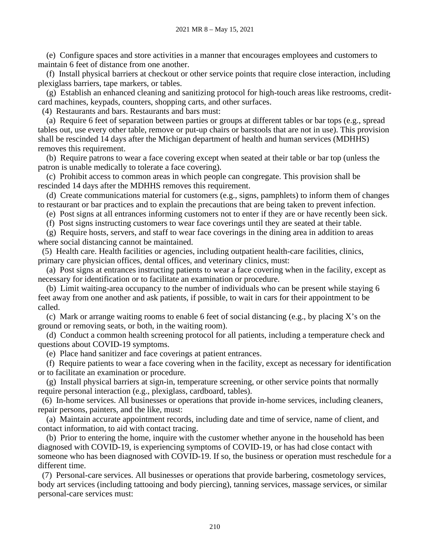(e) Configure spaces and store activities in a manner that encourages employees and customers to maintain 6 feet of distance from one another.

 (f) Install physical barriers at checkout or other service points that require close interaction, including plexiglass barriers, tape markers, or tables.

 (g) Establish an enhanced cleaning and sanitizing protocol for high-touch areas like restrooms, creditcard machines, keypads, counters, shopping carts, and other surfaces.

(4) Restaurants and bars. Restaurants and bars must:

 (a) Require 6 feet of separation between parties or groups at different tables or bar tops (e.g., spread tables out, use every other table, remove or put-up chairs or barstools that are not in use). This provision shall be rescinded 14 days after the Michigan department of health and human services (MDHHS) removes this requirement.

 (b) Require patrons to wear a face covering except when seated at their table or bar top (unless the patron is unable medically to tolerate a face covering).

 (c) Prohibit access to common areas in which people can congregate. This provision shall be rescinded 14 days after the MDHHS removes this requirement.

 (d) Create communications material for customers (e.g., signs, pamphlets) to inform them of changes to restaurant or bar practices and to explain the precautions that are being taken to prevent infection.

(e) Post signs at all entrances informing customers not to enter if they are or have recently been sick.

(f) Post signs instructing customers to wear face coverings until they are seated at their table.

 (g) Require hosts, servers, and staff to wear face coverings in the dining area in addition to areas where social distancing cannot be maintained.

 (5) Health care. Health facilities or agencies, including outpatient health-care facilities, clinics, primary care physician offices, dental offices, and veterinary clinics, must:

 (a) Post signs at entrances instructing patients to wear a face covering when in the facility, except as necessary for identification or to facilitate an examination or procedure.

 (b) Limit waiting-area occupancy to the number of individuals who can be present while staying 6 feet away from one another and ask patients, if possible, to wait in cars for their appointment to be called.

 (c) Mark or arrange waiting rooms to enable 6 feet of social distancing (e.g., by placing X's on the ground or removing seats, or both, in the waiting room).

 (d) Conduct a common health screening protocol for all patients, including a temperature check and questions about COVID-19 symptoms.

(e) Place hand sanitizer and face coverings at patient entrances.

 (f) Require patients to wear a face covering when in the facility, except as necessary for identification or to facilitate an examination or procedure.

 (g) Install physical barriers at sign-in, temperature screening, or other service points that normally require personal interaction (e.g., plexiglass, cardboard, tables).

 (6) In-home services. All businesses or operations that provide in-home services, including cleaners, repair persons, painters, and the like, must:

 (a) Maintain accurate appointment records, including date and time of service, name of client, and contact information, to aid with contact tracing.

 (b) Prior to entering the home, inquire with the customer whether anyone in the household has been diagnosed with COVID-19, is experiencing symptoms of COVID-19, or has had close contact with someone who has been diagnosed with COVID-19. If so, the business or operation must reschedule for a different time.

 (7) Personal-care services. All businesses or operations that provide barbering, cosmetology services, body art services (including tattooing and body piercing), tanning services, massage services, or similar personal-care services must: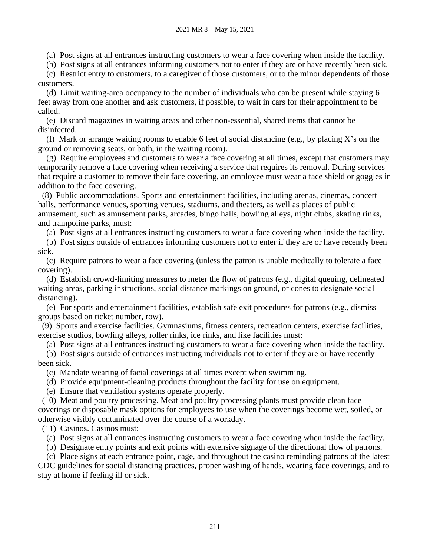(a) Post signs at all entrances instructing customers to wear a face covering when inside the facility.

(b) Post signs at all entrances informing customers not to enter if they are or have recently been sick.

 (c) Restrict entry to customers, to a caregiver of those customers, or to the minor dependents of those customers.

 (d) Limit waiting-area occupancy to the number of individuals who can be present while staying 6 feet away from one another and ask customers, if possible, to wait in cars for their appointment to be called.

 (e) Discard magazines in waiting areas and other non-essential, shared items that cannot be disinfected.

(f) Mark or arrange waiting rooms to enable 6 feet of social distancing (e.g., by placing X's on the ground or removing seats, or both, in the waiting room).

 (g) Require employees and customers to wear a face covering at all times, except that customers may temporarily remove a face covering when receiving a service that requires its removal. During services that require a customer to remove their face covering, an employee must wear a face shield or goggles in addition to the face covering.

 (8) Public accommodations. Sports and entertainment facilities, including arenas, cinemas, concert halls, performance venues, sporting venues, stadiums, and theaters, as well as places of public amusement, such as amusement parks, arcades, bingo halls, bowling alleys, night clubs, skating rinks, and trampoline parks, must:

(a) Post signs at all entrances instructing customers to wear a face covering when inside the facility.

 (b) Post signs outside of entrances informing customers not to enter if they are or have recently been sick.

 (c) Require patrons to wear a face covering (unless the patron is unable medically to tolerate a face covering).

 (d) Establish crowd-limiting measures to meter the flow of patrons (e.g., digital queuing, delineated waiting areas, parking instructions, social distance markings on ground, or cones to designate social distancing).

 (e) For sports and entertainment facilities, establish safe exit procedures for patrons (e.g., dismiss groups based on ticket number, row).

 (9) Sports and exercise facilities. Gymnasiums, fitness centers, recreation centers, exercise facilities, exercise studios, bowling alleys, roller rinks, ice rinks, and like facilities must:

(a) Post signs at all entrances instructing customers to wear a face covering when inside the facility.

 (b) Post signs outside of entrances instructing individuals not to enter if they are or have recently been sick.

(c) Mandate wearing of facial coverings at all times except when swimming.

(d) Provide equipment-cleaning products throughout the facility for use on equipment.

(e) Ensure that ventilation systems operate properly.

 (10) Meat and poultry processing. Meat and poultry processing plants must provide clean face coverings or disposable mask options for employees to use when the coverings become wet, soiled, or otherwise visibly contaminated over the course of a workday.

(11) Casinos. Casinos must:

(a) Post signs at all entrances instructing customers to wear a face covering when inside the facility.

(b) Designate entry points and exit points with extensive signage of the directional flow of patrons.

 (c) Place signs at each entrance point, cage, and throughout the casino reminding patrons of the latest CDC guidelines for social distancing practices, proper washing of hands, wearing face coverings, and to stay at home if feeling ill or sick.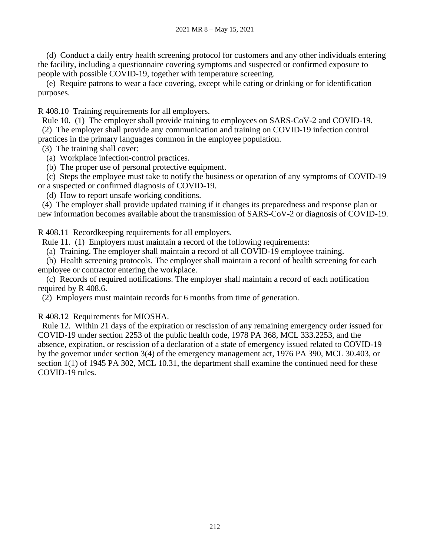(d) Conduct a daily entry health screening protocol for customers and any other individuals entering the facility, including a questionnaire covering symptoms and suspected or confirmed exposure to people with possible COVID-19, together with temperature screening.

 (e) Require patrons to wear a face covering, except while eating or drinking or for identification purposes.

R 408.10 Training requirements for all employers.

Rule 10. (1) The employer shall provide training to employees on SARS-CoV-2 and COVID-19.

(2) The employer shall provide any communication and training on COVID-19 infection control

practices in the primary languages common in the employee population.

(3) The training shall cover:

(a) Workplace infection-control practices.

(b) The proper use of personal protective equipment.

 (c) Steps the employee must take to notify the business or operation of any symptoms of COVID-19 or a suspected or confirmed diagnosis of COVID-19.

(d) How to report unsafe working conditions.

 (4) The employer shall provide updated training if it changes its preparedness and response plan or new information becomes available about the transmission of SARS-CoV-2 or diagnosis of COVID-19.

R 408.11 Recordkeeping requirements for all employers.

Rule 11. (1) Employers must maintain a record of the following requirements:

(a) Training. The employer shall maintain a record of all COVID-19 employee training.

 (b) Health screening protocols. The employer shall maintain a record of health screening for each employee or contractor entering the workplace.

 (c) Records of required notifications. The employer shall maintain a record of each notification required by R 408.6.

(2) Employers must maintain records for 6 months from time of generation.

R 408.12 Requirements for MIOSHA.

 Rule 12. Within 21 days of the expiration or rescission of any remaining emergency order issued for COVID-19 under section 2253 of the public health code, 1978 PA 368, MCL 333.2253, and the absence, expiration, or rescission of a declaration of a state of emergency issued related to COVID-19 by the governor under section 3(4) of the emergency management act, 1976 PA 390, MCL 30.403, or section 1(1) of 1945 PA 302, MCL 10.31, the department shall examine the continued need for these COVID-19 rules.